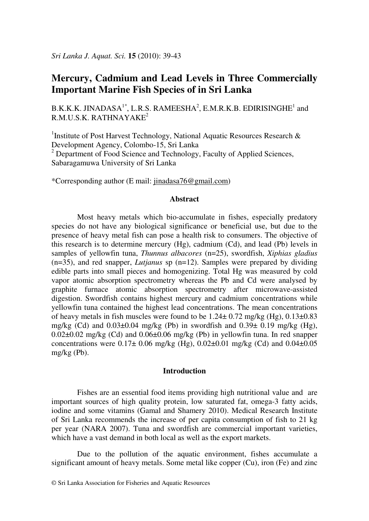# **Mercury, Cadmium and Lead Levels in Three Commercially Important Marine Fish Species of in Sri Lanka**

B.K.K.K. JINADASA<sup>1\*</sup>, L.R.S. RAMEESHA<sup>2</sup>, E.M.R.K.B. EDIRISINGHE<sup>1</sup> and  $R.M.U.S.K. RATHNAYAKE<sup>2</sup>$ 

<sup>1</sup>Institute of Post Harvest Technology, National Aquatic Resources Research & Development Agency, Colombo-15, Sri Lanka <sup>2</sup> Department of Food Science and Technology, Faculty of Applied Sciences,

Sabaragamuwa University of Sri Lanka

\*Corresponding author (E mail: jinadasa76@gmail.com)

## **Abstract**

Most heavy metals which bio-accumulate in fishes, especially predatory species do not have any biological significance or beneficial use, but due to the presence of heavy metal fish can pose a health risk to consumers. The objective of this research is to determine mercury (Hg), cadmium (Cd), and lead (Pb) levels in samples of yellowfin tuna, *Thunnus albacores* (n=25), swordfish, *Xiphias gladius* (n=35), and red snapper, *Lutjanus* sp (n=12). Samples were prepared by dividing edible parts into small pieces and homogenizing. Total Hg was measured by cold vapor atomic absorption spectrometry whereas the Pb and Cd were analysed by graphite furnace atomic absorption spectrometry after microwave-assisted digestion. Swordfish contains highest mercury and cadmium concentrations while yellowfin tuna contained the highest lead concentrations. The mean concentrations of heavy metals in fish muscles were found to be  $1.24 \pm 0.72$  mg/kg (Hg),  $0.13 \pm 0.83$ mg/kg (Cd) and  $0.03\pm0.04$  mg/kg (Pb) in swordfish and  $0.39\pm0.19$  mg/kg (Hg),  $0.02\pm0.02$  mg/kg (Cd) and  $0.06\pm0.06$  mg/kg (Pb) in yellowfin tuna. In red snapper concentrations were  $0.17 \pm 0.06$  mg/kg (Hg),  $0.02 \pm 0.01$  mg/kg (Cd) and  $0.04 \pm 0.05$ mg/kg (Pb).

## **Introduction**

Fishes are an essential food items providing high nutritional value and are important sources of high quality protein, low saturated fat, omega-3 fatty acids, iodine and some vitamins (Gamal and Shamery 2010). Medical Research Institute of Sri Lanka recommends the increase of per capita consumption of fish to 21 kg per year (NARA 2007). Tuna and swordfish are commercial important varieties, which have a vast demand in both local as well as the export markets.

Due to the pollution of the aquatic environment, fishes accumulate a significant amount of heavy metals. Some metal like copper (Cu), iron (Fe) and zinc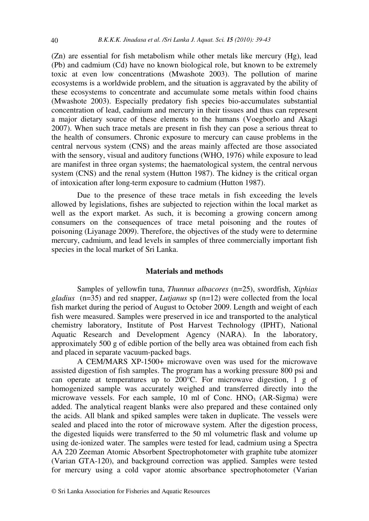(Zn) are essential for fish metabolism while other metals like mercury (Hg), lead (Pb) and cadmium (Cd) have no known biological role, but known to be extremely toxic at even low concentrations (Mwashote 2003). The pollution of marine ecosystems is a worldwide problem, and the situation is aggravated by the ability of these ecosystems to concentrate and accumulate some metals within food chains (Mwashote 2003). Especially predatory fish species bio-accumulates substantial concentration of lead, cadmium and mercury in their tissues and thus can represent a major dietary source of these elements to the humans (Voegborlo and Akagi 2007). When such trace metals are present in fish they can pose a serious threat to the health of consumers. Chronic exposure to mercury can cause problems in the central nervous system (CNS) and the areas mainly affected are those associated with the sensory, visual and auditory functions (WHO, 1976) while exposure to lead are manifest in three organ systems; the haematological system, the central nervous system (CNS) and the renal system (Hutton 1987). The kidney is the critical organ of intoxication after long-term exposure to cadmium (Hutton 1987).

Due to the presence of these trace metals in fish exceeding the levels allowed by legislations, fishes are subjected to rejection within the local market as well as the export market. As such, it is becoming a growing concern among consumers on the consequences of trace metal poisoning and the routes of poisoning (Liyanage 2009). Therefore, the objectives of the study were to determine mercury, cadmium, and lead levels in samples of three commercially important fish species in the local market of Sri Lanka.

#### **Materials and methods**

Samples of yellowfin tuna, *Thunnus albacores* (n=25), swordfish, *Xiphias gladius* (n=35) and red snapper, *Lutjanus* sp (n=12) were collected from the local fish market during the period of August to October 2009. Length and weight of each fish were measured. Samples were preserved in ice and transported to the analytical chemistry laboratory, Institute of Post Harvest Technology (IPHT), National Aquatic Research and Development Agency (NARA). In the laboratory, approximately 500 g of edible portion of the belly area was obtained from each fish and placed in separate vacuum-packed bags.

A CEM/MARS XP-1500+ microwave oven was used for the microwave assisted digestion of fish samples. The program has a working pressure 800 psi and can operate at temperatures up to 200°C. For microwave digestion, 1 g of homogenized sample was accurately weighed and transferred directly into the microwave vessels. For each sample,  $10$  ml of Conc.  $HNO<sub>3</sub>$  (AR-Sigma) were added. The analytical reagent blanks were also prepared and these contained only the acids. All blank and spiked samples were taken in duplicate. The vessels were sealed and placed into the rotor of microwave system. After the digestion process, the digested liquids were transferred to the 50 ml volumetric flask and volume up using de-ionized water. The samples were tested for lead, cadmium using a Spectra AA 220 Zeeman Atomic Absorbent Spectrophotometer with graphite tube atomizer (Varian GTA-120), and background correction was applied. Samples were tested for mercury using a cold vapor atomic absorbance spectrophotometer (Varian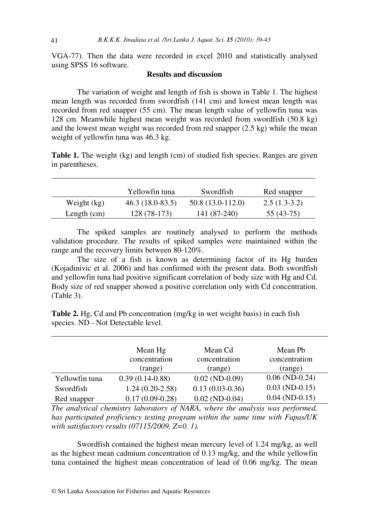VGA-77). Then the data were recorded in excel 2010 and statistically analysed using SPSS 16 software.

## **Results and discussion**

The variation of weight and length of fish is shown in Table 1. The highest mean length was recorded from swordfish (141 cm) and lowest mean length was recorded from red snapper (55 cm). The mean length value of yellowfin tuna was 128 cm. Meanwhile highest mean weight was recorded from swordfish (50.8 kg) and the lowest mean weight was recorded from red snapper (2.5 kg) while the mean weight of yellowfin tuna was 46.3 kg.

**Table 1.** The weight (kg) and length (cm) of studied fish species. Ranges are given in parentheses.

|               | Yellowfin tuna    | Swordfish          | Red snapper    |
|---------------|-------------------|--------------------|----------------|
| Weight (kg)   | $46.3(18.0-83.5)$ | $50.8(13.0-112.0)$ | $2.5(1.3-3.2)$ |
| Length $(cm)$ | 128 (78-173)      | 141 (87-240)       | 55 (43-75)     |

The spiked samples are routinely analysed to perform the methods validation procedure. The results of spiked samples were maintained within the range and the recovery limits between 80-120%.

The size of a fish is known as determining factor of its Hg burden (Kojadinivic et al. 2006) and has confirmed with the present data. Both swordfish and yellowfin tuna had positive significant correlation of body size with Hg and Cd. Body size of red snapper showed a positive correlation only with Cd concentration. (Table 3).

**Table 2.** Hg, Cd and Pb concentration (mg/kg in wet weight basis) in each fish species. ND - Not Detectable level.

|                | Mean Hg<br>concentration<br>(range) | Mean Cd<br>concentration<br>(range) | Mean Pb<br>concentration<br>(range) |
|----------------|-------------------------------------|-------------------------------------|-------------------------------------|
| Yellowfin tuna | $0.39(0.14-0.88)$                   | $0.02$ (ND- $0.09$ )                | $0.06$ (ND-0.24)                    |
| Swordfish      | $1.24(0.20-2.58)$                   | $0.13(0.03-0.36)$                   | $0.03$ (ND-0.15)                    |
| Red snapper    | $0.17(0.09-0.28)$                   | $0.02$ (ND-0.04)                    | $0.04$ (ND-0.15)                    |

*The analytical chemistry laboratory of NARA, where the analysis was performed, has participated proficiency testing program within the same time with Fapas/UK with satisfactory results (07115/2009, Z=0. 1).* 

Swordfish contained the highest mean mercury level of 1.24 mg/kg, as well as the highest mean cadmium concentration of 0.13 mg/kg, and the while yellowfin tuna contained the highest mean concentration of lead of 0.06 mg/kg. The mean

41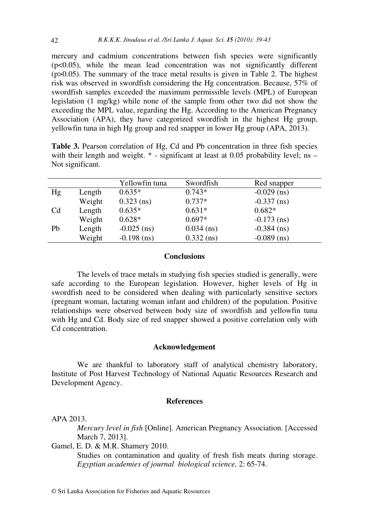mercury and cadmium concentrations between fish species were significantly  $(p<0.05)$ , while the mean lead concentration was not significantly different  $(p>0.05)$ . The summary of the trace metal results is given in Table 2. The highest risk was observed in swordfish considering the Hg concentration. Because, 57% of swordfish samples exceeded the maximum permissible levels (MPL) of European legislation (1 mg/kg) while none of the sample from other two did not show the exceeding the MPL value, regarding the Hg. According to the American Pregnancy Association (APA), they have categorized swordfish in the highest Hg group, yellowfin tuna in high Hg group and red snapper in lower Hg group (APA, 2013).

**Table 3.** Pearson correlation of Hg, Cd and Pb concentration in three fish species with their length and weight.  $*$  - significant at least at 0.05 probability level; ns – Not significant.

|    |        | Yellowfin tuna | Swordfish    | Red snapper   |
|----|--------|----------------|--------------|---------------|
| Hg | Length | $0.635*$       | $0.743*$     | $-0.029$ (ns) |
|    | Weight | $0.323$ (ns)   | $0.737*$     | $-0.337$ (ns) |
| Cd | Length | $0.635*$       | $0.631*$     | $0.682*$      |
|    | Weight | $0.628*$       | $0.697*$     | $-0.173$ (ns) |
| Pb | Length | $-0.025$ (ns)  | $0.034$ (ns) | $-0.384$ (ns) |
|    | Weight | $-0.198$ (ns)  | $0.332$ (ns) | $-0.089$ (ns) |

# **Conclusions**

The levels of trace metals in studying fish species studied is generally, were safe according to the European legislation. However, higher levels of Hg in swordfish need to be considered when dealing with particularly sensitive sectors (pregnant woman, lactating woman infant and children) of the population. Positive relationships were observed between body size of swordfish and yellowfin tuna with Hg and Cd. Body size of red snapper showed a positive correlation only with Cd concentration.

#### **Acknowledgement**

We are thankful to laboratory staff of analytical chemistry laboratory, Institute of Post Harvest Technology of National Aquatic Resources Research and Development Agency.

#### **References**

### APA 2013.

*Mercury level in fish* [Online]. American Pregnancy Association. [Accessed March 7, 2013].

Gamel, E. D. & M.R. Shamery 2010.

Studies on contamination and quality of fresh fish meats during storage. *Egyptian academies of journal biological science,* 2: 65-74.